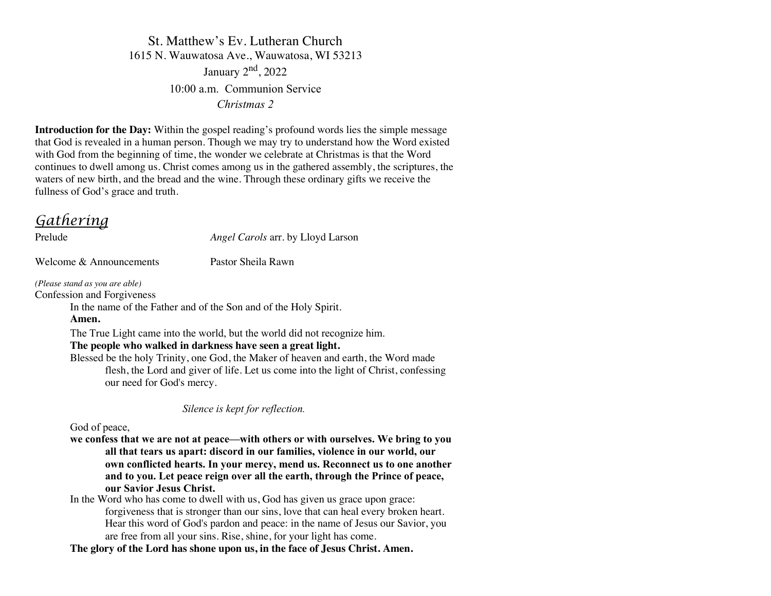St. Matthew's Ev. Lutheran Church 1615 N. Wauwatosa Ave., Wauwatosa, WI 53213 January  $2<sup>nd</sup>$ , 2022 10:00 a.m. Communion Service *Christmas 2*

**Introduction for the Day:** Within the gospel reading's profound words lies the simple message that God is revealed in a human person. Though we may try to understand how the Word existed with God from the beginning of time, the wonder we celebrate at Christmas is that the Word continues to dwell among us. Christ comes among us in the gathered assembly, the scriptures, the waters of new birth, and the bread and the wine. Through these ordinary gifts we receive the fullness of God's grace and truth.

### *Gathering*

Welcome & Announcements Pastor Sheila Rawn

Prelude *Angel Carols* arr. by Lloyd Larson

*(Please stand as you are able)*

Confession and Forgiveness

In the name of the Father and of the Son and of the Holy Spirit.

**Amen.**

The True Light came into the world, but the world did not recognize him.

**The people who walked in darkness have seen a great light.**

Blessed be the holy Trinity, one God, the Maker of heaven and earth, the Word made flesh, the Lord and giver of life. Let us come into the light of Christ, confessing our need for God's mercy.

 *Silence is kept for reflection.*

God of peace,

**we confess that we are not at peace—with others or with ourselves. We bring to you all that tears us apart: discord in our families, violence in our world, our own conflicted hearts. In your mercy, mend us. Reconnect us to one another and to you. Let peace reign over all the earth, through the Prince of peace, our Savior Jesus Christ.**

In the Word who has come to dwell with us, God has given us grace upon grace: forgiveness that is stronger than our sins, love that can heal every broken heart. Hear this word of God's pardon and peace: in the name of Jesus our Savior, you are free from all your sins. Rise, shine, for your light has come.

**The glory of the Lord has shone upon us, in the face of Jesus Christ. Amen.**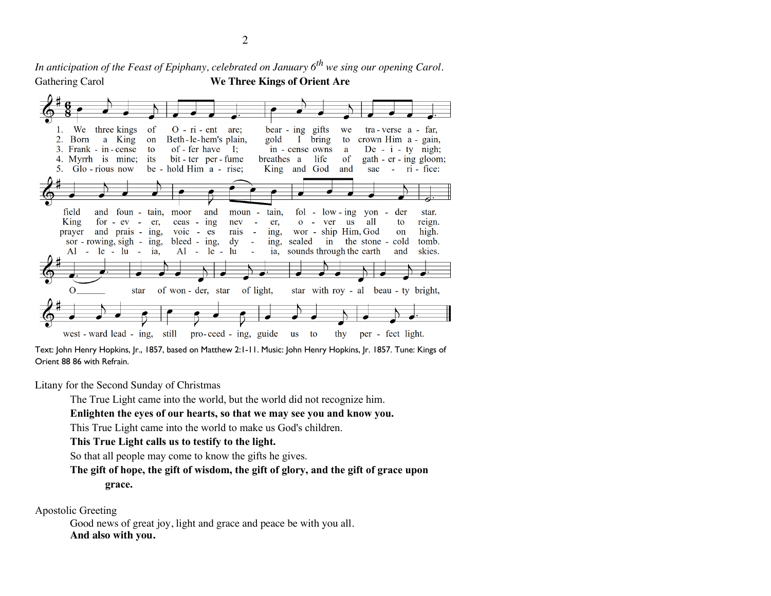*In anticipation of the Feast of Epiphany, celebrated on January 6th we sing our opening Carol.* Gathering Carol **We Three Kings of Orient Are**



Text: John Henry Hopkins, Jr., 1857, based on Matthew 2:1-11. Music: John Henry Hopkins, Jr. 1857. Tune: Kings of Orient 88 86 with Refrain.

Litany for the Second Sunday of Christmas

The True Light came into the world, but the world did not recognize him.

### **Enlighten the eyes of our hearts, so that we may see you and know you.**

This True Light came into the world to make us God's children.

### **This True Light calls us to testify to the light.**

So that all people may come to know the gifts he gives.

### **The gift of hope, the gift of wisdom, the gift of glory, and the gift of grace upon grace.**

Apostolic Greeting

Good news of great joy, light and grace and peace be with you all. **And also with you.**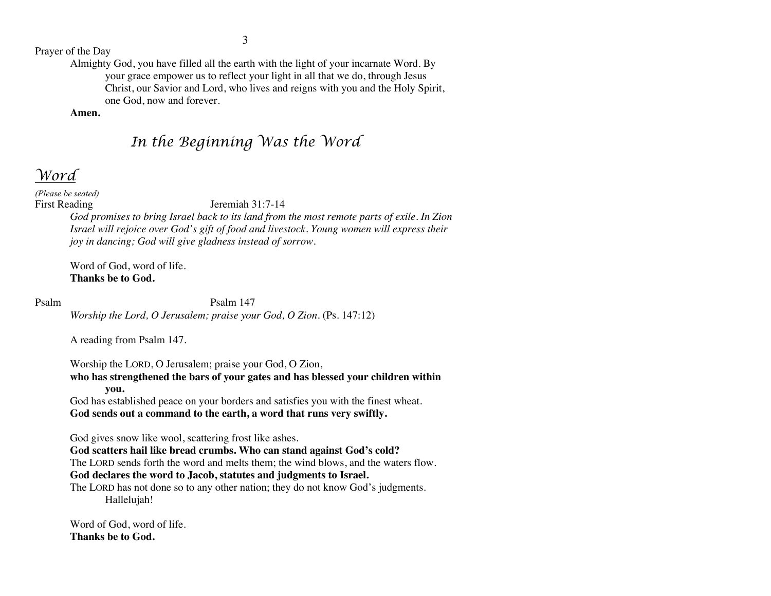Prayer of the Day

Almighty God, you have filled all the earth with the light of your incarnate Word. By your grace empower us to reflect your light in all that we do, through Jesus Christ, our Savior and Lord, who lives and reigns with you and the Holy Spirit, one God, now and forever.

### **Amen.**

# *In the Beginning Was the Word*

## *Word*

*(Please be seated)*

### First Reading Jeremiah 31:7-14

*God promises to bring Israel back to its land from the most remote parts of exile. In Zion Israel will rejoice over God's gift of food and livestock. Young women will express their joy in dancing; God will give gladness instead of sorrow.*

Word of God, word of life. **Thanks be to God.**

### Psalm Psalm 147

*Worship the Lord, O Jerusalem; praise your God, O Zion.* (Ps. 147:12)

A reading from Psalm 147.

Worship the LORD, O Jerusalem; praise your God, O Zion, **who has strengthened the bars of your gates and has blessed your children within you.**

God has established peace on your borders and satisfies you with the finest wheat. **God sends out a command to the earth, a word that runs very swiftly.**

God gives snow like wool, scattering frost like ashes.

**God scatters hail like bread crumbs. Who can stand against God's cold?**  The LORD sends forth the word and melts them; the wind blows, and the waters flow. **God declares the word to Jacob, statutes and judgments to Israel.** 

The LORD has not done so to any other nation; they do not know God's judgments. Hallelujah!

Word of God, word of life. **Thanks be to God.**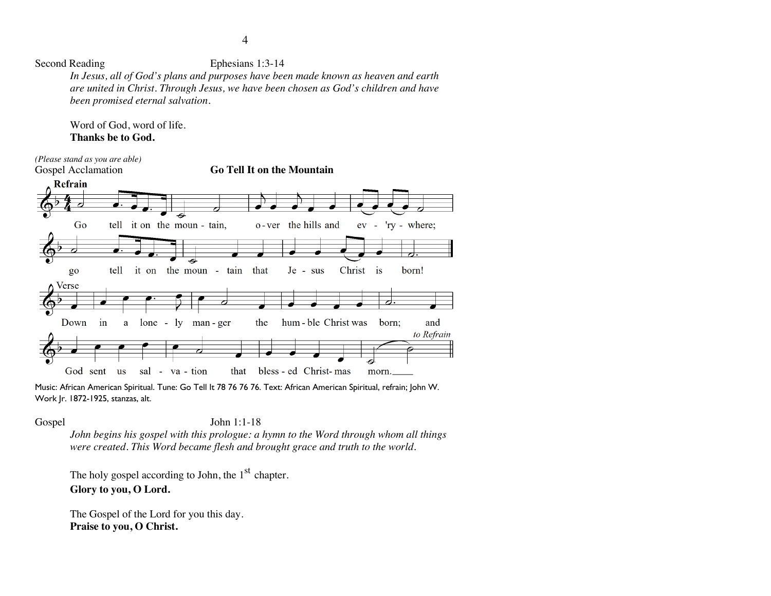Second Reading Ephesians 1:3-14

*In Jesus, all of God's plans and purposes have been made known as heaven and earth are united in Christ. Through Jesus, we have been chosen as God's children and have been promised eternal salvation.*

Word of God, word of life. **Thanks be to God.**



Music: African American Spiritual. Tune: Go Tell It 78 76 76 76. Text: African American Spiritual, refrain; John W. Work Jr. 1872-1925, stanzas, alt.

Gospel John 1:1-18

*John begins his gospel with this prologue: a hymn to the Word through whom all things were created. This Word became flesh and brought grace and truth to the world.*

The holy gospel according to John, the  $1<sup>st</sup>$  chapter. **Glory to you, O Lord.**

The Gospel of the Lord for you this day. **Praise to you, O Christ.**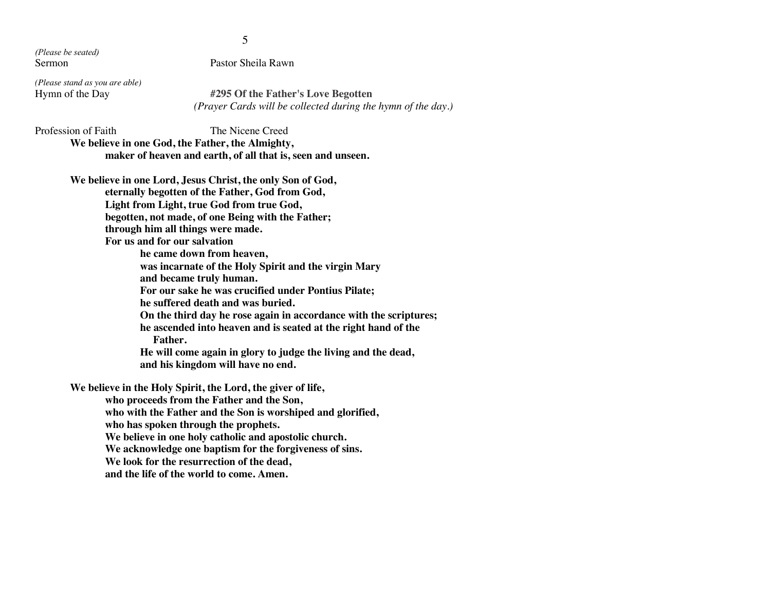*(Please be seated)*

Sermon Pastor Sheila Rawn

*(Please stand as you are able)*

#295 Of the Father's Love Begotten  *(Prayer Cards will be collected during the hymn of the day.)*

Profession of Faith The Nicene Creed **We believe in one God, the Father, the Almighty, maker of heaven and earth, of all that is, seen and unseen.**

**We believe in one Lord, Jesus Christ, the only Son of God, eternally begotten of the Father, God from God, Light from Light, true God from true God, begotten, not made, of one Being with the Father; through him all things were made. For us and for our salvation he came down from heaven, was incarnate of the Holy Spirit and the virgin Mary and became truly human. For our sake he was crucified under Pontius Pilate; he suffered death and was buried. On the third day he rose again in accordance with the scriptures; he ascended into heaven and is seated at the right hand of the Father. He will come again in glory to judge the living and the dead, and his kingdom will have no end. We believe in the Holy Spirit, the Lord, the giver of life, who proceeds from the Father and the Son, who with the Father and the Son is worshiped and glorified, who has spoken through the prophets. We believe in one holy catholic and apostolic church. We acknowledge one baptism for the forgiveness of sins. We look for the resurrection of the dead, and the life of the world to come. Amen.**

5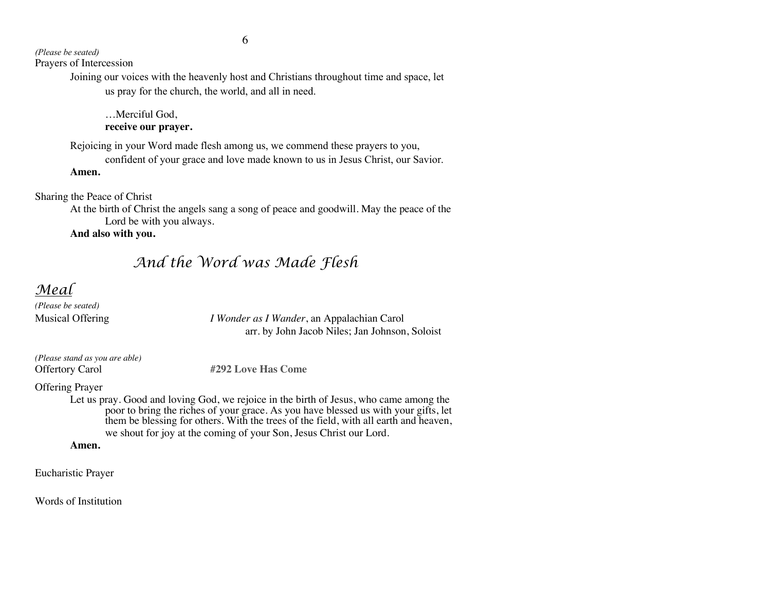*(Please be seated)* Prayers of Intercession

> Joining our voices with the heavenly host and Christians throughout time and space, let us pray for the church, the world, and all in need.

…Merciful God, **receive our prayer.**

Rejoicing in your Word made flesh among us, we commend these prayers to you,

confident of your grace and love made known to us in Jesus Christ, our Savior.

**Amen.**

Sharing the Peace of Christ

At the birth of Christ the angels sang a song of peace and goodwill. May the peace of the Lord be with you always.

**And also with you.** 

# *And the Word was Made Flesh*

## *Meal*

*(Please be seated)*

Musical Offering *I Wonder as I Wander*, an Appalachian Carol arr. by John Jacob Niles; Jan Johnson, Soloist

| (Please stand as you are able) |
|--------------------------------|
| <b>Offertory Carol</b>         |

**#292 Love Has Come** 

Offering Prayer

Let us pray. Good and loving God, we rejoice in the birth of Jesus, who came among the poor to bring the riches of your grace. As you have blessed us with your gifts, let them be blessing for others. With the trees of the field, with all earth and heaven, we shout for joy at the coming of your Son, Jesus Christ our Lord.

**Amen.**

Eucharistic Prayer

Words of Institution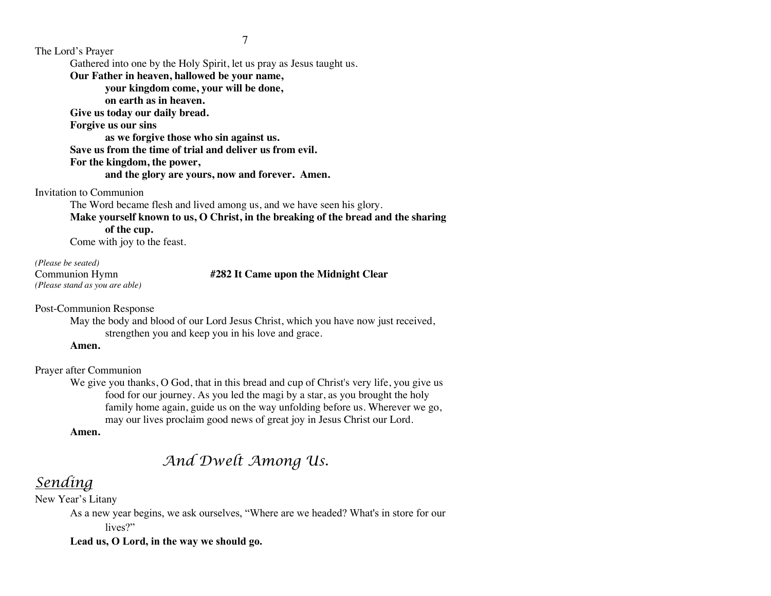The Lord's Prayer

Gathered into one by the Holy Spirit, let us pray as Jesus taught us.

**Our Father in heaven, hallowed be your name,** 

**your kingdom come, your will be done,** 

**on earth as in heaven.**

**Give us today our daily bread.** 

**Forgive us our sins** 

**as we forgive those who sin against us.** 

**Save us from the time of trial and deliver us from evil.**

### **For the kingdom, the power,**

**and the glory are yours, now and forever. Amen.**

Invitation to Communion

The Word became flesh and lived among us, and we have seen his glory.

**Make yourself known to us, O Christ, in the breaking of the bread and the sharing of the cup.**

Come with joy to the feast.

*(Please be seated) (Please stand as you are able)*

### Communion Hymn **#282 It Came upon the Midnight Clear**

Post-Communion Response

May the body and blood of our Lord Jesus Christ, which you have now just received, strengthen you and keep you in his love and grace.

**Amen.**

Prayer after Communion

We give you thanks, O God, that in this bread and cup of Christ's very life, you give us food for our journey. As you led the magi by a star, as you brought the holy family home again, guide us on the way unfolding before us. Wherever we go, may our lives proclaim good news of great joy in Jesus Christ our Lord.

### **Amen.**

# *And Dwelt Among Us.*

# *Sending*

New Year's Litany

As a new year begins, we ask ourselves, "Where are we headed? What's in store for our lives?"

### **Lead us, O Lord, in the way we should go.**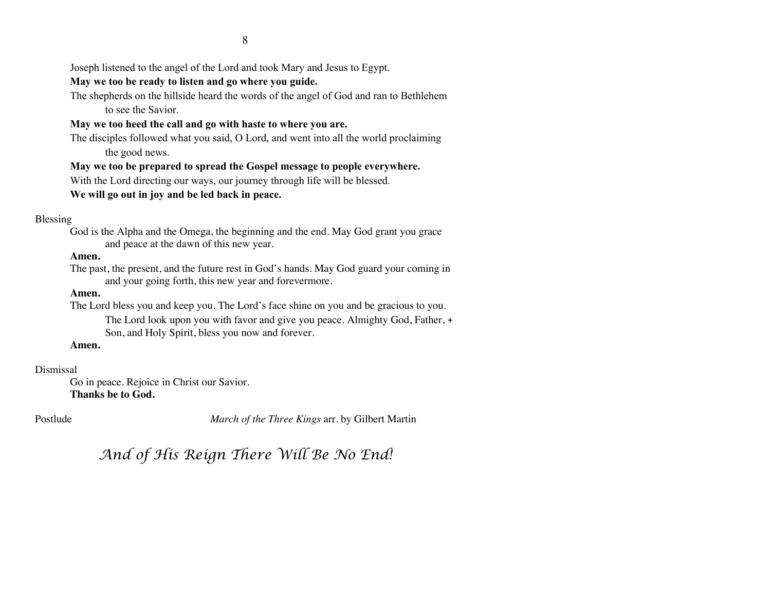Joseph listened to the angel of the Lord and took Mary and Jesus to Egypt.

### **May we too be ready to listen and go where you guide.**

The shepherds on the hillside heard the words of the angel of God and ran to Bethlehem to see the Savior.

### **May we too heed the call and go with haste to where you are.**

The disciples followed what you said, O Lord, and went into all the world proclaiming the good news.

**May we too be prepared to spread the Gospel message to people everywhere.** With the Lord directing our ways, our journey through life will be blessed.

### **We will go out in joy and be led back in peace.**

### Blessing

God is the Alpha and the Omega, the beginning and the end. May God grant you grace and peace at the dawn of this new year.

### **Amen.**

The past, the present, and the future rest in God's hands. May God guard your coming in and your going forth, this new year and forevermore.

### **Amen.**

The Lord bless you and keep you. The Lord's face shine on you and be gracious to you.

The Lord look upon you with favor and give you peace. Almighty God, Father, + Son, and Holy Spirit, bless you now and forever.

### **Amen.**

### Dismissal

Go in peace. Rejoice in Christ our Savior. **Thanks be to God.**

Postlude *March of the Three Kings* arr. by Gilbert Martin

*And of His Reign There Will Be No End!*